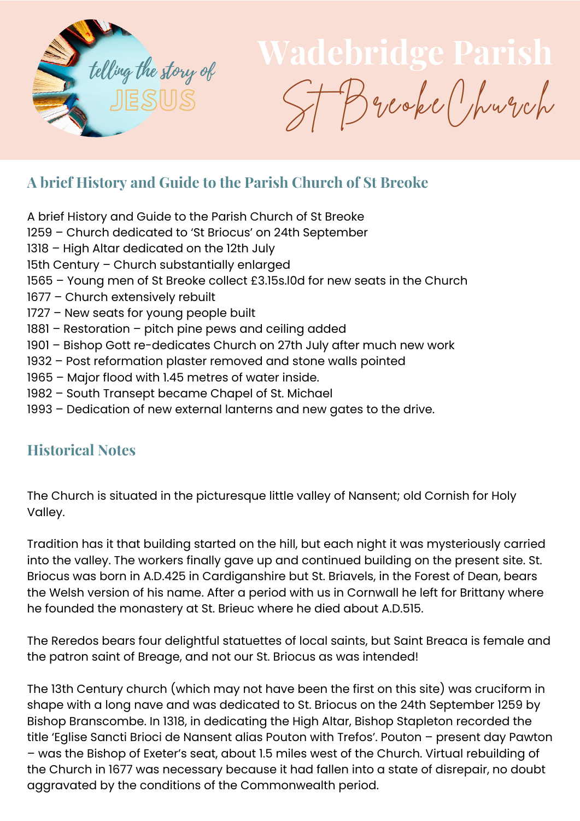

JESUS ST Breoke Church

## **A brief History and Guide to the Parish Church of St Breoke**

- A brief History and Guide to the Parish Church of St Breoke
- 1259 Church dedicated to 'St Briocus' on 24th September
- 1318 High Altar dedicated on the 12th July
- 15th Century Church substantially enlarged
- 1565 Young men of St Breoke collect £3.15s.l0d for new seats in the Church
- 1677 Church extensively rebuilt
- 1727 New seats for young people built
- 1881 Restoration pitch pine pews and ceiling added
- 1901 Bishop Gott re-dedicates Church on 27th July after much new work
- 1932 Post reformation plaster removed and stone walls pointed
- 1965 Major flood with 1.45 metres of water inside.
- 1982 South Transept became Chapel of St. Michael
- 1993 Dedication of new external lanterns and new gates to the drive.

## **Historical Notes**

The Church is situated in the picturesque little valley of Nansent; old Cornish for Holy Valley.

Tradition has it that building started on the hill, but each night it was mysteriously carried into the valley. The workers finally gave up and continued building on the present site. St. Briocus was born in A.D.425 in Cardiganshire but St. Briavels, in the Forest of Dean, bears the Welsh version of his name. After a period with us in Cornwall he left for Brittany where he founded the monastery at St. Brieuc where he died about A.D.515.

The Reredos bears four delightful statuettes of local saints, but Saint Breaca is female and the patron saint of Breage, and not our St. Briocus as was intended!

The 13th Century church (which may not have been the first on this site) was cruciform in shape with a long nave and was dedicated to St. Briocus on the 24th September 1259 by Bishop Branscombe. In 1318, in dedicating the High Altar, Bishop Stapleton recorded the title 'Eglise Sancti Brioci de Nansent alias Pouton with Trefos'. Pouton – present day Pawton – was the Bishop of Exeter's seat, about 1.5 miles west of the Church. Virtual rebuilding of the Church in 1677 was necessary because it had fallen into a state of disrepair, no doubt aggravated by the conditions of the Commonwealth period.